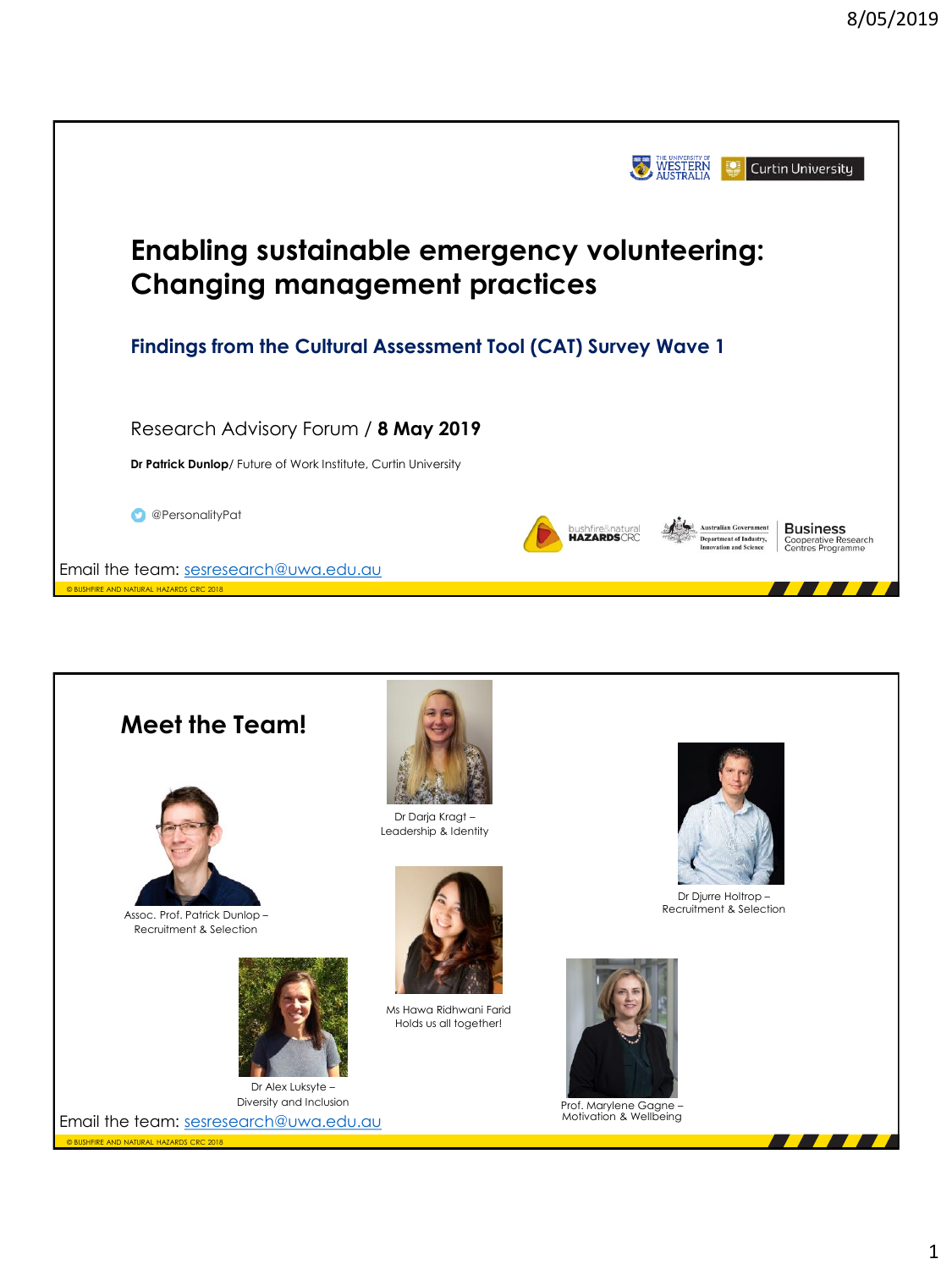

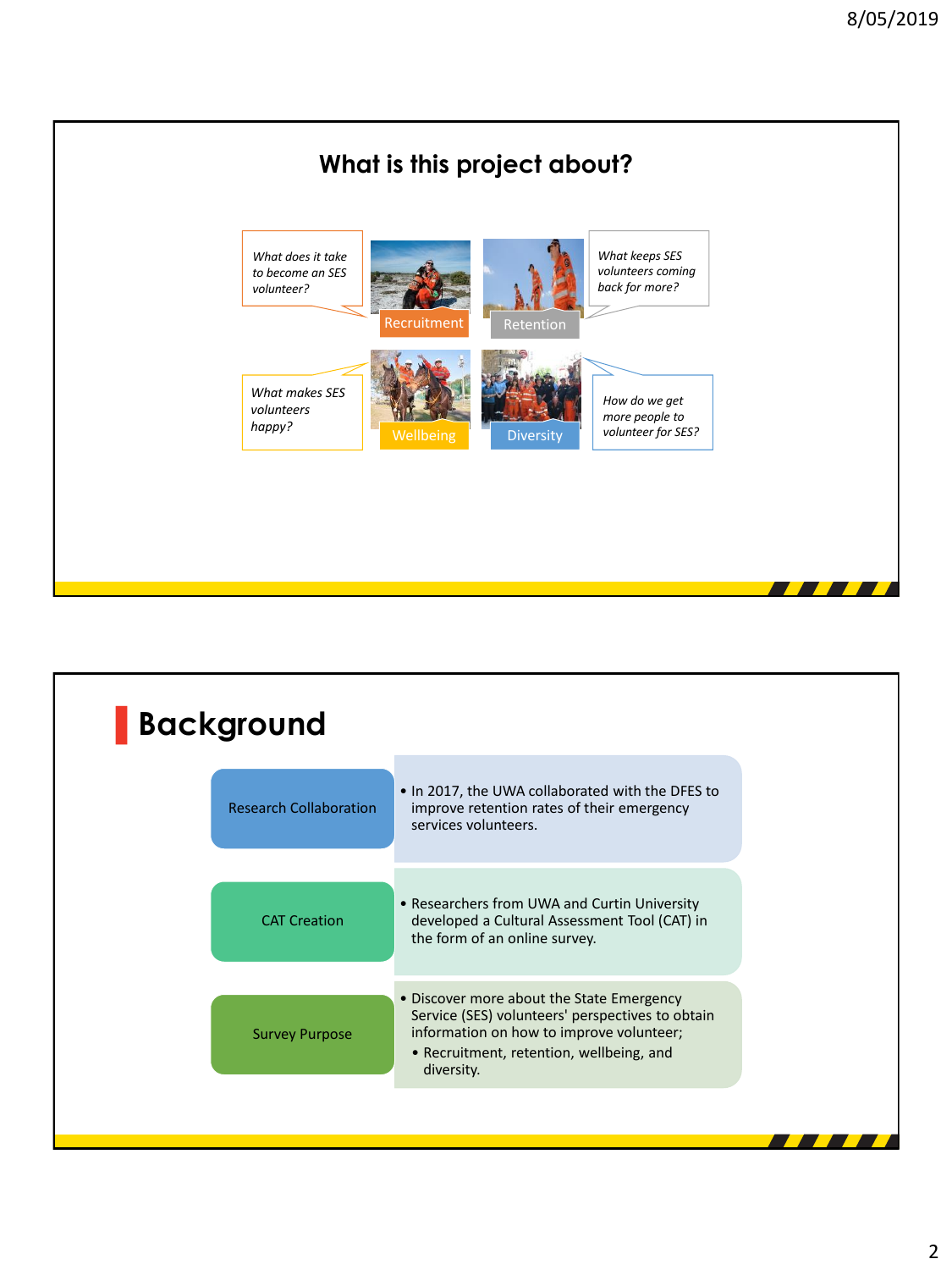

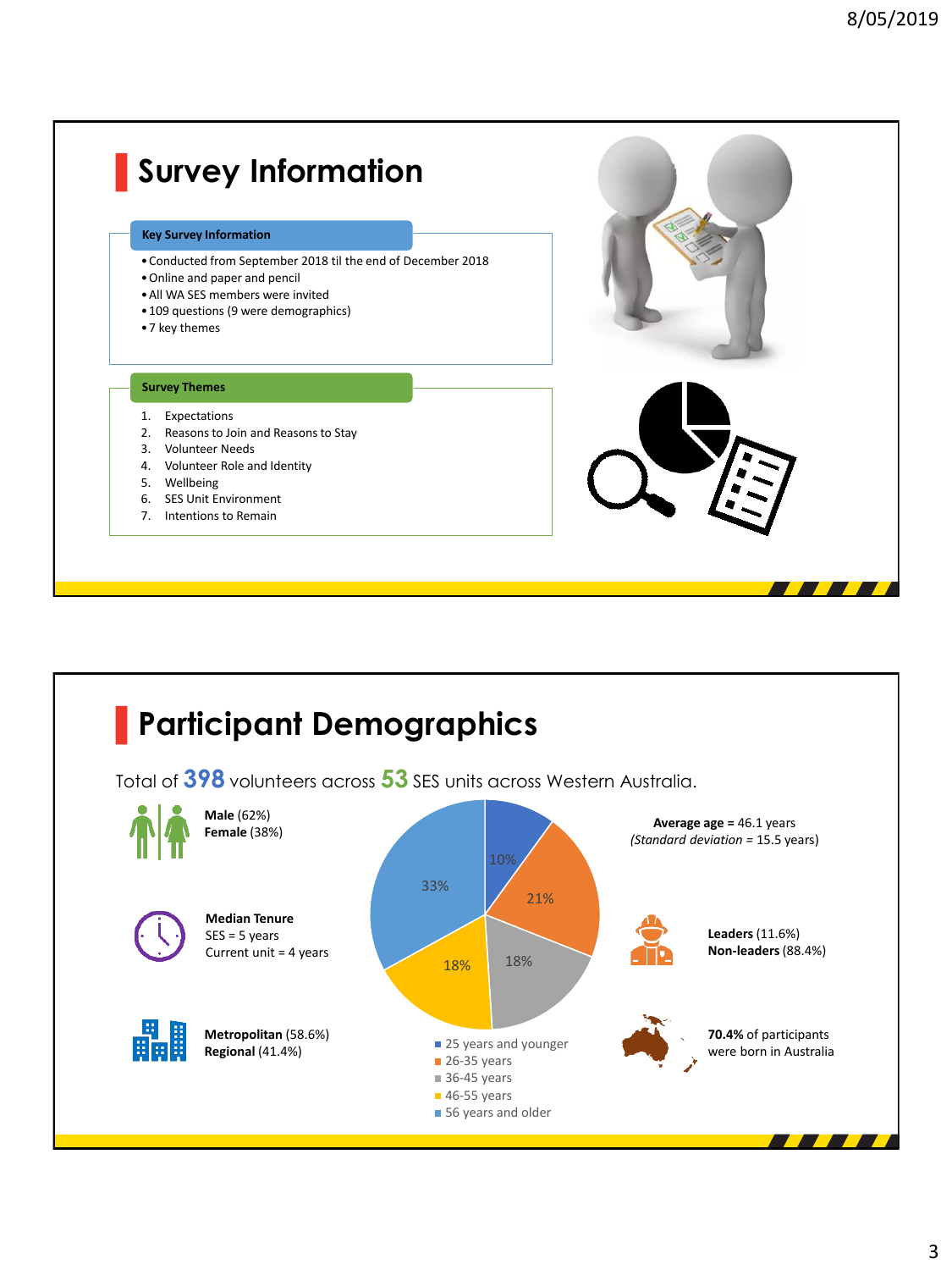## **▌Survey Information**

#### **Key Survey Information**

- •Conducted from September 2018 til the end of December 2018
- •Online and paper and pencil
- •All WA SES members were invited
- •109 questions (9 were demographics)
- •7 key themes

### **Survey Themes**

- 
- 
- 3. Volunteer Needs
- 4. Volunteer Role and Identity
- 5. Wellbeing
- 
- 7. Intentions to Remain



■ 56 years and older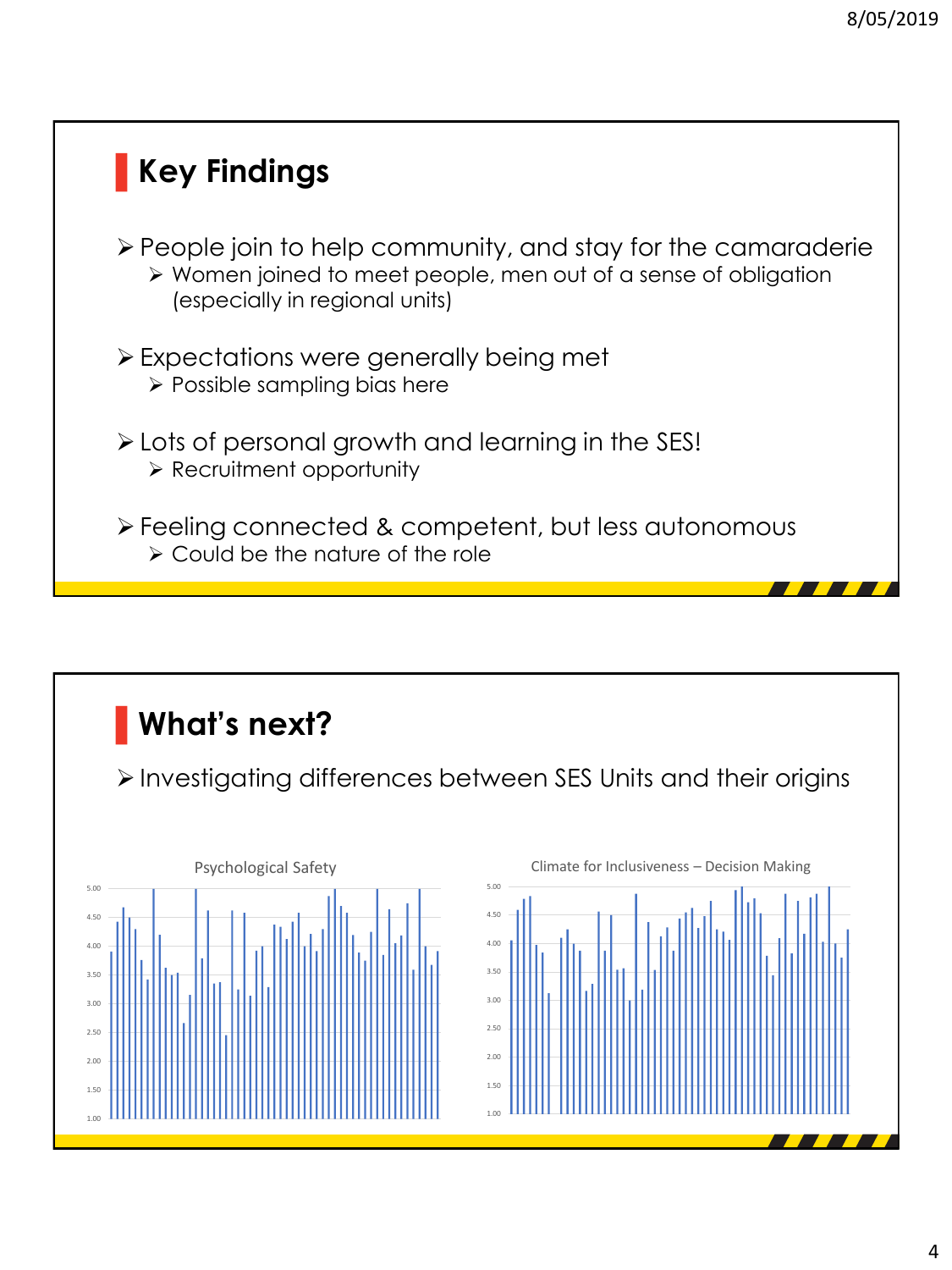# **▌Key Findings** People join to help community, and stay for the camaraderie Women joined to meet people, men out of a sense of obligation (especially in regional units) Expectations were generally being met  $\triangleright$  Possible sampling bias here Lots of personal growth and learning in the SES!  $\triangleright$  Recruitment opportunity Feeling connected & competent, but less autonomous Could be the nature of the role



Investigating differences between SES Units and their origins



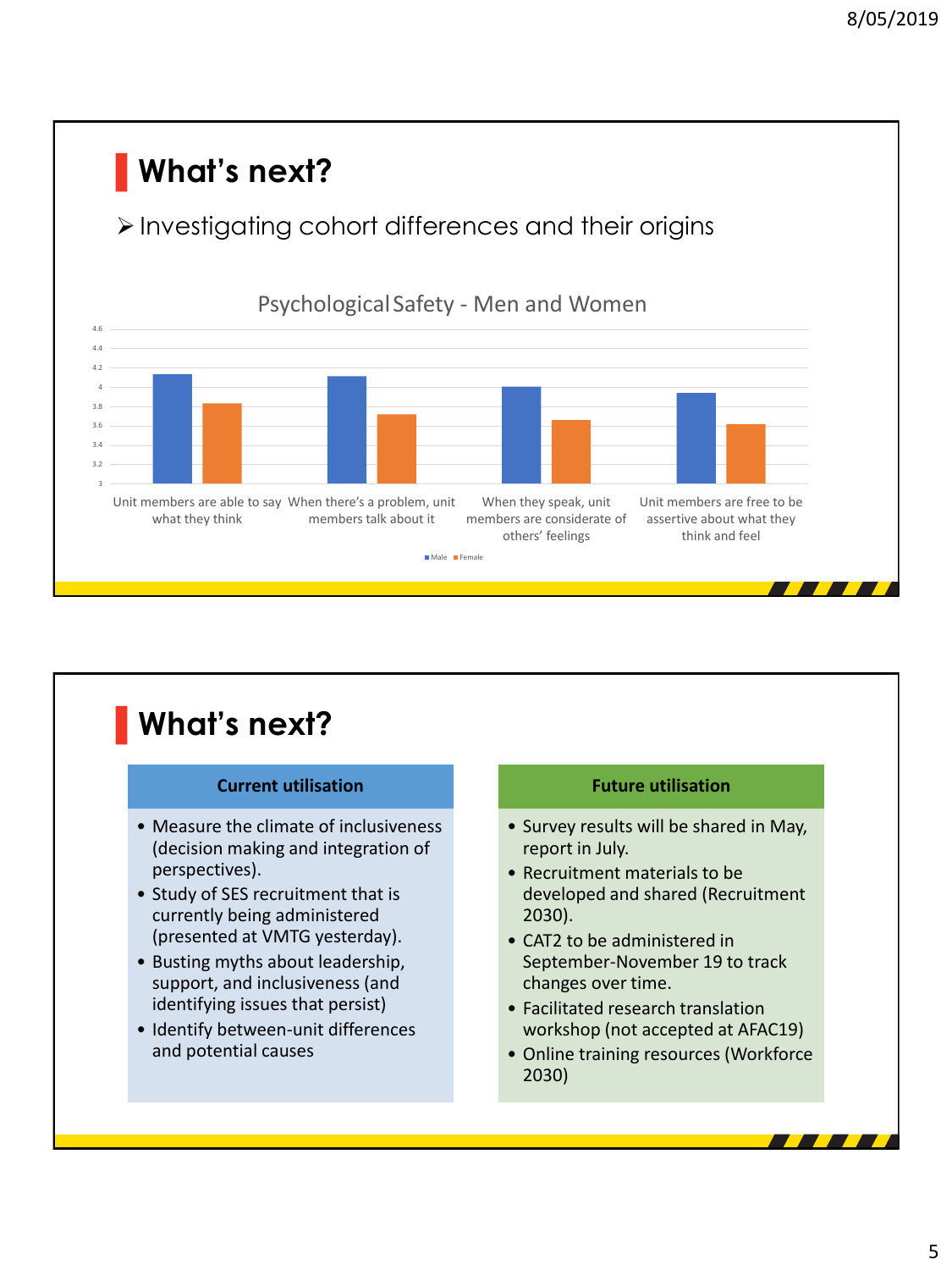

#### **▌What's next? Current utilisation** • Measure the climate of inclusiveness (decision making and integration of perspectives). • Study of SES recruitment that is currently being administered (presented at VMTG yesterday). • Busting myths about leadership, support, and inclusiveness (and identifying issues that persist) • Identify between-unit differences and potential causes **Future utilisation** • Survey results will be shared in May, report in July. • Recruitment materials to be developed and shared (Recruitment 2030). • CAT2 to be administered in September-November 19 to track changes over time. • Facilitated research translation workshop (not accepted at AFAC19) • Online training resources (Workforce 2030)